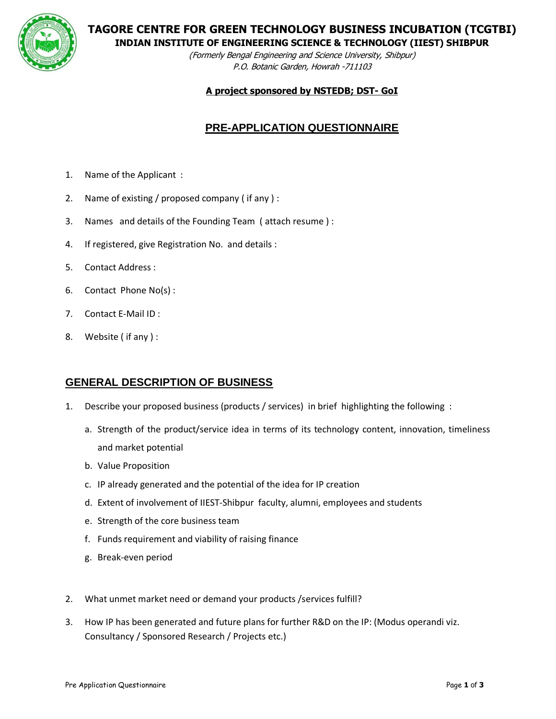

**TAGORE CENTRE FOR GREEN TECHNOLOGY BUSINESS INCUBATION (TCGTBI)**

**INDIAN INSTITUTE OF ENGINEERING SCIENCE & TECHNOLOGY (IIEST) SHIBPUR**

(Formerly Bengal Engineering and Science University, Shibpur) P.O. Botanic Garden, Howrah -711103

#### **A project sponsored by NSTEDB; DST- GoI**

# **PRE-APPLICATION QUESTIONNAIRE**

- 1. Name of the Applicant :
- 2. Name of existing / proposed company ( if any ) :
- 3. Names and details of the Founding Team ( attach resume ) :
- 4. If registered, give Registration No. and details :
- 5. Contact Address :
- 6. Contact Phone No(s) :
- 7. Contact E-Mail ID :
- 8. Website ( if any ) :

## **GENERAL DESCRIPTION OF BUSINESS**

- 1. Describe your proposed business (products / services) in brief highlighting the following :
	- a. Strength of the product/service idea in terms of its technology content, innovation, timeliness and market potential
	- b. Value Proposition
	- c. IP already generated and the potential of the idea for IP creation
	- d. Extent of involvement of IIEST-Shibpur faculty, alumni, employees and students
	- e. Strength of the core business team
	- f. Funds requirement and viability of raising finance
	- g. Break-even period
- 2. What unmet market need or demand your products /services fulfill?
- 3. How IP has been generated and future plans for further R&D on the IP: (Modus operandi viz. Consultancy / Sponsored Research / Projects etc.)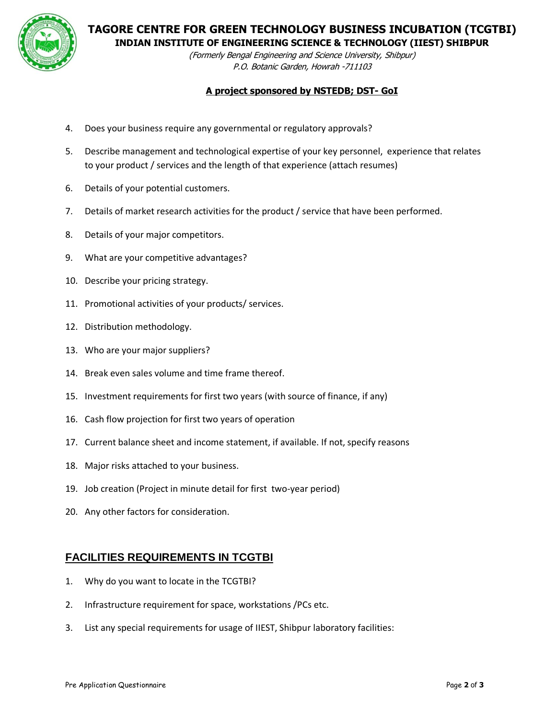

**TAGORE CENTRE FOR GREEN TECHNOLOGY BUSINESS INCUBATION (TCGTBI)**

**INDIAN INSTITUTE OF ENGINEERING SCIENCE & TECHNOLOGY (IIEST) SHIBPUR**

(Formerly Bengal Engineering and Science University, Shibpur) P.O. Botanic Garden, Howrah -711103

#### **A project sponsored by NSTEDB; DST- GoI**

- 4. Does your business require any governmental or regulatory approvals?
- 5. Describe management and technological expertise of your key personnel, experience that relates to your product / services and the length of that experience (attach resumes)
- 6. Details of your potential customers.
- 7. Details of market research activities for the product / service that have been performed.
- 8. Details of your major competitors.
- 9. What are your competitive advantages?
- 10. Describe your pricing strategy.
- 11. Promotional activities of your products/ services.
- 12. Distribution methodology.
- 13. Who are your major suppliers?
- 14. Break even sales volume and time frame thereof.
- 15. Investment requirements for first two years (with source of finance, if any)
- 16. Cash flow projection for first two years of operation
- 17. Current balance sheet and income statement, if available. If not, specify reasons
- 18. Major risks attached to your business.
- 19. Job creation (Project in minute detail for first two-year period)
- 20. Any other factors for consideration.

## **FACILITIES REQUIREMENTS IN TCGTBI**

- 1. Why do you want to locate in the TCGTBI?
- 2. Infrastructure requirement for space, workstations /PCs etc.
- 3. List any special requirements for usage of IIEST, Shibpur laboratory facilities: